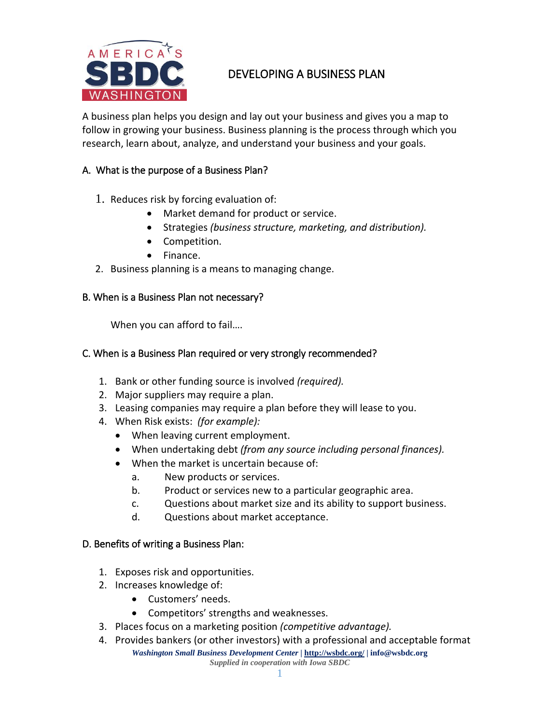

# DEVELOPING A BUSINESS PLAN

A business plan helps you design and lay out your business and gives you a map to follow in growing your business. Business planning is the process through which you research, learn about, analyze, and understand your business and your goals.

# A. What is the purpose of a Business Plan?

- 1. Reduces risk by forcing evaluation of:
	- Market demand for product or service.
	- Strategies *(business structure, marketing, and distribution).*
	- Competition.
	- Finance.
- 2. Business planning is a means to managing change.

### B. When is a Business Plan not necessary?

When you can afford to fail….

### C. When is a Business Plan required or very strongly recommended?

- 1. Bank or other funding source is involved *(required).*
- 2. Major suppliers may require a plan.
- 3. Leasing companies may require a plan before they will lease to you.
- 4. When Risk exists: *(for example):*
	- When leaving current employment.
	- When undertaking debt *(from any source including personal finances).*
	- When the market is uncertain because of:
		- a. New products or services.
		- b. Product or services new to a particular geographic area.
		- c. Questions about market size and its ability to support business.
		- d. Questions about market acceptance.

#### D. Benefits of writing a Business Plan:

- 1. Exposes risk and opportunities.
- 2. Increases knowledge of:
	- Customers' needs.
	- Competitors' strengths and weaknesses.
- 3. Places focus on a marketing position *(competitive advantage).*
- *Washington Small Business Development Center* **|<http://wsbdc.org/> | info@wsbdc.org** *Supplied in cooperation with Iowa SBDC* 4. Provides bankers (or other investors) with a professional and acceptable format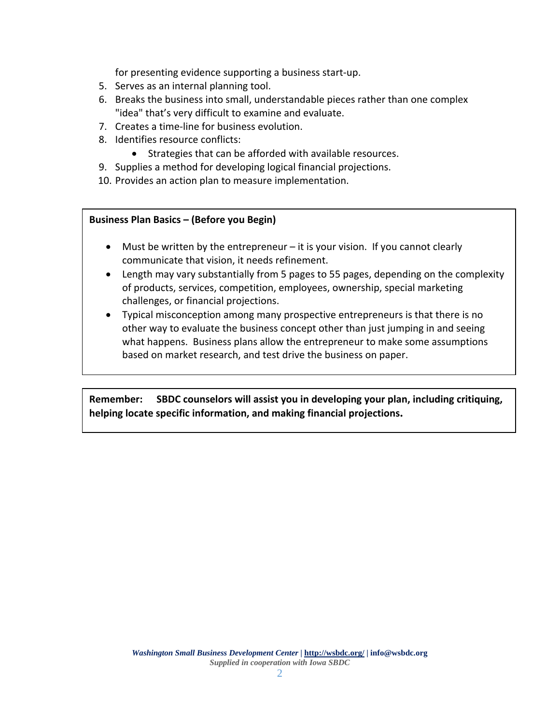for presenting evidence supporting a business start-up.

- 5. Serves as an internal planning tool.
- 6. Breaks the business into small, understandable pieces rather than one complex "idea" that's very difficult to examine and evaluate.
- 7. Creates a time-line for business evolution.
- 8. Identifies resource conflicts:
	- Strategies that can be afforded with available resources.
- 9. Supplies a method for developing logical financial projections.
- 10. Provides an action plan to measure implementation.

#### **Business Plan Basics – (Before you Begin)**

- Must be written by the entrepreneur it is your vision. If you cannot clearly communicate that vision, it needs refinement.
- Length may vary substantially from 5 pages to 55 pages, depending on the complexity of products, services, competition, employees, ownership, special marketing challenges, or financial projections.
- Typical misconception among many prospective entrepreneurs is that there is no other way to evaluate the business concept other than just jumping in and seeing what happens. Business plans allow the entrepreneur to make some assumptions based on market research, and test drive the business on paper.

**Remember: SBDC counselors will assist you in developing your plan, including critiquing, helping locate specific information, and making financial projections.**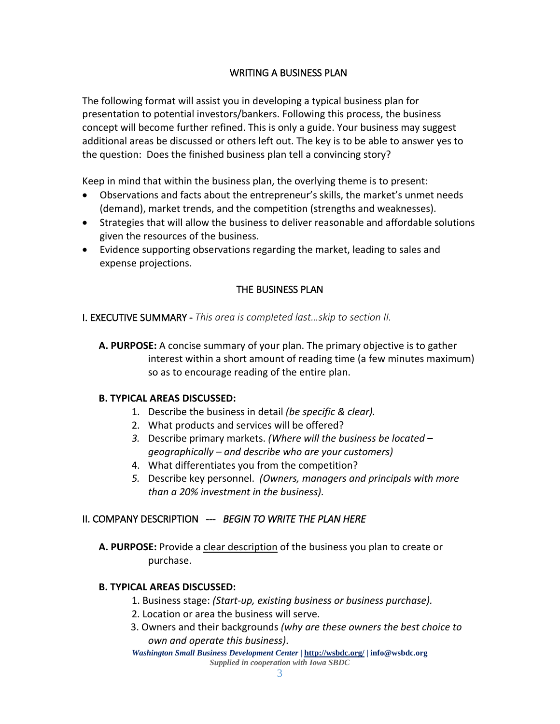# WRITING A BUSINESS PLAN

The following format will assist you in developing a typical business plan for presentation to potential investors/bankers. Following this process, the business concept will become further refined. This is only a guide. Your business may suggest additional areas be discussed or others left out. The key is to be able to answer yes to the question: Does the finished business plan tell a convincing story?

Keep in mind that within the business plan, the overlying theme is to present:

- Observations and facts about the entrepreneur's skills, the market's unmet needs (demand), market trends, and the competition (strengths and weaknesses).
- Strategies that will allow the business to deliver reasonable and affordable solutions given the resources of the business.
- Evidence supporting observations regarding the market, leading to sales and expense projections.

# THE BUSINESS PLAN

I. EXECUTIVE SUMMARY - *This area is completed last…skip to section II.*

**A. PURPOSE:** A concise summary of your plan. The primary objective is to gather interest within a short amount of reading time (a few minutes maximum) so as to encourage reading of the entire plan.

## **B. TYPICAL AREAS DISCUSSED:**

- 1. Describe the business in detail *(be specific & clear).*
- 2. What products and services will be offered?
- *3.* Describe primary markets. *(Where will the business be located – geographically – and describe who are your customers)*
- 4. What differentiates you from the competition?
- *5.* Describe key personnel. *(Owners, managers and principals with more than a 20% investment in the business).*

## II. COMPANY DESCRIPTION --- *BEGIN TO WRITE THE PLAN HERE*

**A. PURPOSE:** Provide a clear description of the business you plan to create or purchase.

## **B. TYPICAL AREAS DISCUSSED:**

- 1. Business stage: *(Start-up, existing business or business purchase).*
- 2. Location or area the business will serve.
- 3. Owners and their backgrounds *(why are these owners the best choice to own and operate this business)*.

*Washington Small Business Development Center* **|<http://wsbdc.org/> | info@wsbdc.org** *Supplied in cooperation with Iowa SBDC*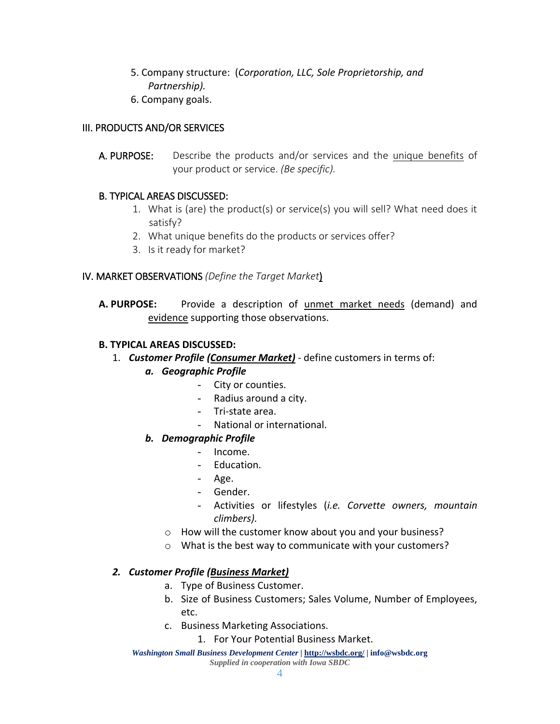- 5. Company structure: (*Corporation, LLC, Sole Proprietorship, and Partnership).*
- 6. Company goals.

# III. PRODUCTS AND/OR SERVICES

A. PURPOSE: Describe the products and/or services and the unique benefits of your product or service. *(Be specific).*

# B. TYPICAL AREAS DISCUSSED:

- 1. What is (are) the product(s) or service(s) you will sell? What need does it satisfy?
- 2. What unique benefits do the products or services offer?
- 3. Is it ready for market?

# IV. MARKET OBSERVATIONS *(Define the Target Market*)

**A. PURPOSE:** Provide a description of unmet market needs (demand) and evidence supporting those observations.

# **B. TYPICAL AREAS DISCUSSED:**

- 1. *Customer Profile (Consumer Market)* define customers in terms of:
	- *a. Geographic Profile*
		- City or counties.
		- Radius around a city.
		- Tri-state area.
		- National or international.

# *b. Demographic Profile*

- Income.
- Education.
- Age.
- Gender.
- Activities or lifestyles (*i.e. Corvette owners, mountain climbers).*
- o How will the customer know about you and your business?
- o What is the best way to communicate with your customers?

## *2. Customer Profile (Business Market)*

- a. Type of Business Customer.
- b. Size of Business Customers; Sales Volume, Number of Employees, etc.
- c. Business Marketing Associations.
	- 1. For Your Potential Business Market.

*Washington Small Business Development Center* **|<http://wsbdc.org/> | info@wsbdc.org** *Supplied in cooperation with Iowa SBDC*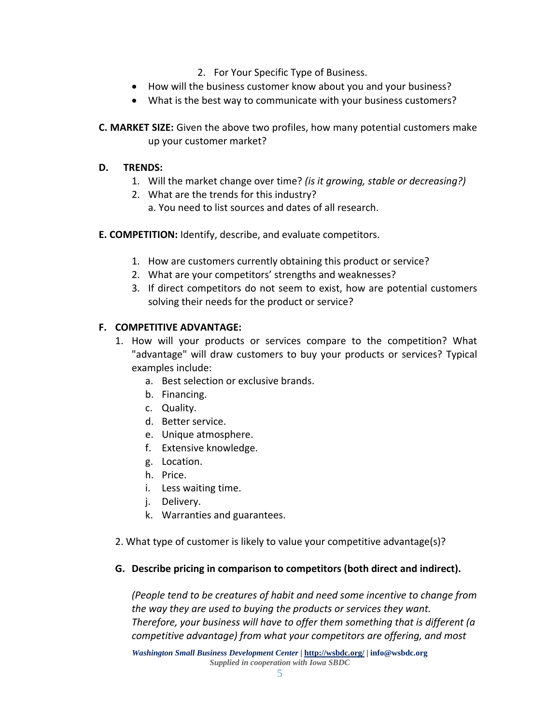- 2. For Your Specific Type of Business.
- How will the business customer know about you and your business?
- What is the best way to communicate with your business customers?

**C. MARKET SIZE:** Given the above two profiles, how many potential customers make up your customer market?

### **D. TRENDS:**

- 1. Will the market change over time? *(is it growing, stable or decreasing?)*
- 2. What are the trends for this industry?
	- a. You need to list sources and dates of all research.
- **E. COMPETITION:** Identify, describe, and evaluate competitors.
	- 1. How are customers currently obtaining this product or service?
	- 2. What are your competitors' strengths and weaknesses?
	- 3. If direct competitors do not seem to exist, how are potential customers solving their needs for the product or service?

## **F. COMPETITIVE ADVANTAGE:**

- 1. How will your products or services compare to the competition? What "advantage" will draw customers to buy your products or services? Typical examples include:
	- a. Best selection or exclusive brands.
	- b. Financing.
	- c. Quality.
	- d. Better service.
	- e. Unique atmosphere.
	- f. Extensive knowledge.
	- g. Location.
	- h. Price.
	- i. Less waiting time.
	- j. Delivery.
	- k. Warranties and guarantees.
- 2. What type of customer is likely to value your competitive advantage(s)?

## **G. Describe pricing in comparison to competitors (both direct and indirect).**

*(People tend to be creatures of habit and need some incentive to change from the way they are used to buying the products or services they want. Therefore, your business will have to offer them something that is different (a competitive advantage) from what your competitors are offering, and most*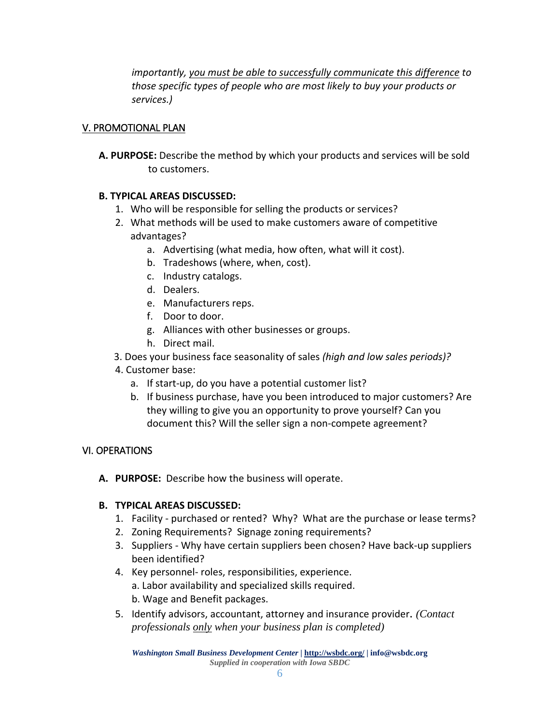*importantly, you must be able to successfully communicate this difference to those specific types of people who are most likely to buy your products or services.)*

# V. PROMOTIONAL PLAN

**A. PURPOSE:** Describe the method by which your products and services will be sold to customers.

## **B. TYPICAL AREAS DISCUSSED:**

- 1. Who will be responsible for selling the products or services?
- 2. What methods will be used to make customers aware of competitive advantages?
	- a. Advertising (what media, how often, what will it cost).
	- b. Tradeshows (where, when, cost).
	- c. Industry catalogs.
	- d. Dealers.
	- e. Manufacturers reps.
	- f. Door to door.
	- g. Alliances with other businesses or groups.
	- h. Direct mail.
- 3. Does your business face seasonality of sales *(high and low sales periods)?*
- 4. Customer base:
	- a. If start-up, do you have a potential customer list?
	- b. If business purchase, have you been introduced to major customers? Are they willing to give you an opportunity to prove yourself? Can you document this? Will the seller sign a non-compete agreement?

## VI. OPERATIONS

**A. PURPOSE:** Describe how the business will operate.

## **B. TYPICAL AREAS DISCUSSED:**

- 1. Facility purchased or rented? Why? What are the purchase or lease terms?
- 2. Zoning Requirements? Signage zoning requirements?
- 3. Suppliers Why have certain suppliers been chosen? Have back-up suppliers been identified?
- 4. Key personnel- roles, responsibilities, experience.
	- a. Labor availability and specialized skills required.
	- b. Wage and Benefit packages.
- 5. Identify advisors, accountant, attorney and insurance provider. *(Contact professionals only when your business plan is completed)*